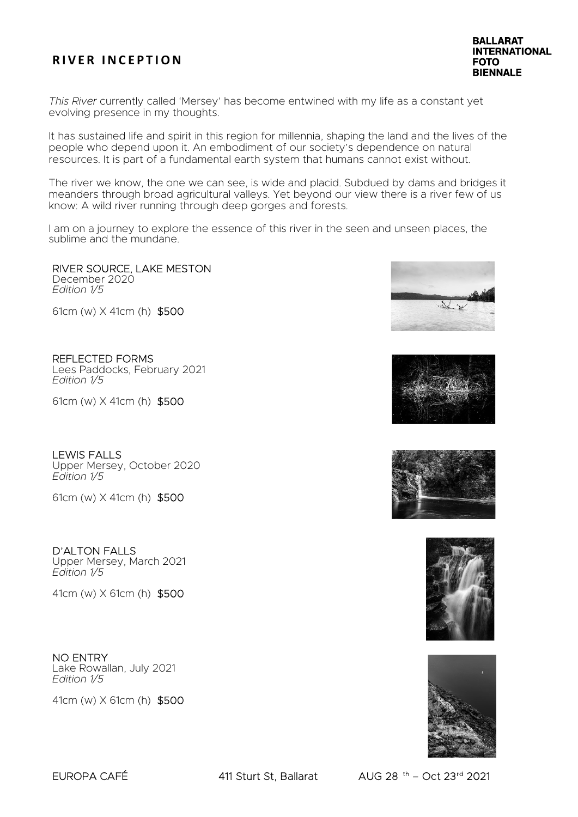This River currently called 'Mersey' has become entwined with my life as a constant yet evolving presence in my thoughts.

It has sustained life and spirit in this region for millennia, shaping the land and the lives of the people who depend upon it. An embodiment of our society's dependence on natural resources. It is part of a fundamental earth system that humans cannot exist without.

The river we know, the one we can see, is wide and placid. Subdued by dams and bridges it meanders through broad agricultural valleys. Yet beyond our view there is a river few of us know: A wild river running through deep gorges and forests.

I am on a journey to explore the essence of this river in the seen and unseen places, the sublime and the mundane.

#### RIVER SOURCE, LAKE MESTON December 2020

Edition 1/5

61cm (w) X 41cm (h) \$500

REFLECTED FORMS Lees Paddocks, February 2021 Edition 1/5

61cm (w) X 41cm (h) \$500

### LEWIS FALLS

Upper Mersey, October 2020 Edition 1/5

61cm (w) X 41cm (h) \$500

## D'ALTON FALLS

Upper Mersey, March 2021 Edition 1/5

41cm (w) X 61cm (h) \$500

### NO ENTRY

Lake Rowallan, July 2021 Edition 1/5

41cm (w) X 61cm (h) \$500











EUROPA CAFÉ 411 Sturt St, Ballarat AUG 28 th – Oct 23rd 2021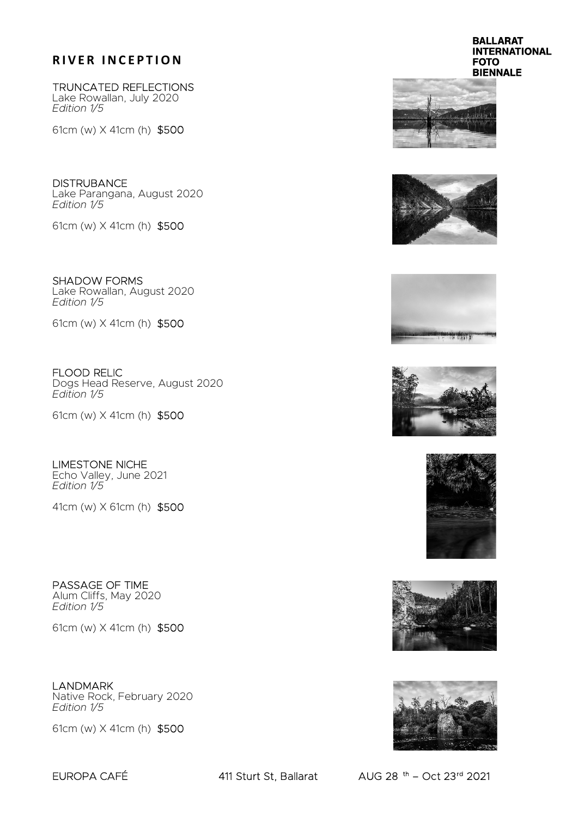TRUNCATED REFLECTIONS Lake Rowallan, July 2020 Edition 1/5

61cm (w) X 41cm (h) \$500

**DISTRUBANCE** Lake Parangana, August 2020 Edition 1/5

61cm (w) X 41cm (h) \$500

SHADOW FORMS Lake Rowallan, August 2020 Edition 1/5

61cm (w) X 41cm (h) \$500

FLOOD RELIC Dogs Head Reserve, August 2020 Edition 1/5

61cm (w) X 41cm (h) \$500

LIMESTONE NICHE Echo Valley, June 2021 Edition 1/5

41cm (w) X 61cm (h) \$500

PASSAGE OF TIME Alum Cliffs, May 2020 Edition 1/5

61cm (w) X 41cm (h) \$500

LANDMARK Native Rock, February 2020 Edition 1/5

61cm (w) X 41cm (h) \$500

#### **BALLARAT INTERNATIONAL FOTO BIENNALE**















EUROPA CAFÉ 411 Sturt St, Ballarat AUG 28 th – Oct 23rd 2021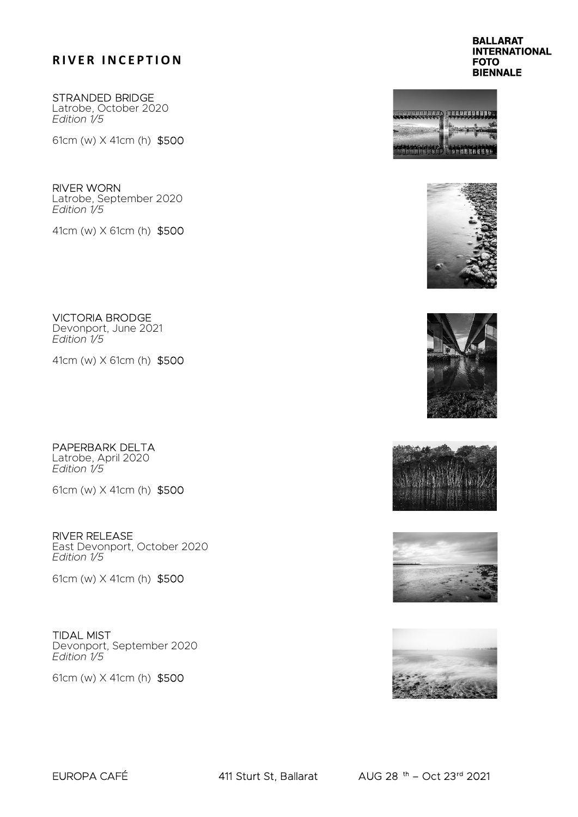STRANDED BRIDGE Latrobe, October 2020 Edition 1/5

61cm (w) X 41cm (h) \$500

RIVER WORN Latrobe, September 2020 Edition 1/5

41cm (w) X 61cm (h) \$500

VICTORIA BRODGE Devonport, June 2021 Edition 1/5

41cm (w) X 61cm (h) \$500

PAPERBARK DELTA Latrobe, April 2020 Edition 1/5

61cm (w) X 41cm (h) \$500

RIVER RELEASE East Devonport, October 2020 Edition 1/5

61cm (w) X 41cm (h) \$500

TIDAL MIST Devonport, September 2020

Edition 1/5

61cm (w) X 41cm (h) \$500

**BALLARAT INTERNATIONAL FOTO BIENNALE**